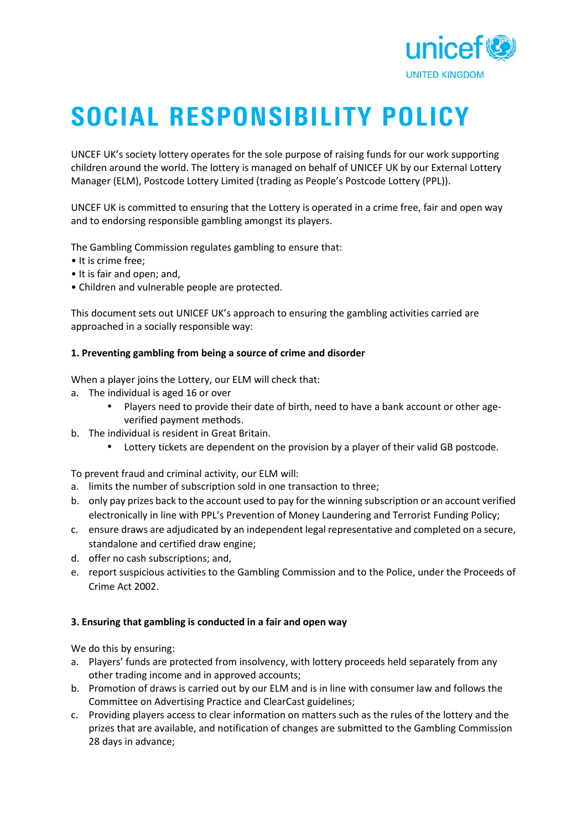

# **SOCIAL RESPONSIBILITY POLICY**

UNCEF UK's society lottery operates for the sole purpose of raising funds for our work supporting children around the world. The lottery is managed on behalf of UNICEF UK by our External Lottery Manager (ELM), Postcode Lottery Limited (trading as People's Postcode Lottery (PPL)).

UNCEF UK is committed to ensuring that the Lottery is operated in a crime free, fair and open way and to endorsing responsible gambling amongst its players.

The Gambling Commission regulates gambling to ensure that:

- It is crime free;
- It is fair and open; and,
- Children and vulnerable people are protected.

This document sets out UNICEF UK's approach to ensuring the gambling activities carried are approached in a socially responsible way:

### **1. Preventing gambling from being a source of crime and disorder**

When a player joins the Lottery, our ELM will check that:

- a. The individual is aged 16 or over
	- Players need to provide their date of birth, need to have a bank account or other age verified payment methods.
- b. The individual is resident in Great Britain.
	- Lottery tickets are dependent on the provision by a player of their valid GB postcode.

To prevent fraud and criminal activity, our ELM will:

- a. limits the number of subscription sold in one transaction to three;
- b. only pay prizes back to the account used to pay for the winning subscription or an account verified electronically in line with PPL's Prevention of Money Laundering and Terrorist Funding Policy;
- c. ensure draws are adjudicated by an independent legal representative and completed on a secure, standalone and certified draw engine;
- d. offer no cash subscriptions; and,
- e. report suspicious activities to the Gambling Commission and to the Police, under the Proceeds of Crime Act 2002.

### **3. Ensuring that gambling is conducted in a fair and open way**

We do this by ensuring:

- a. Players' funds are protected from insolvency, with lottery proceeds held separately from any other trading income and in approved accounts;
- b. Promotion of draws is carried out by our ELM and is in line with consumer law and follows the Committee on Advertising Practice and ClearCast guidelines;
- c. Providing players access to clear information on matters such as the rules of the lottery and the prizes that are available, and notification of changes are submitted to the Gambling Commission 28 days in advance;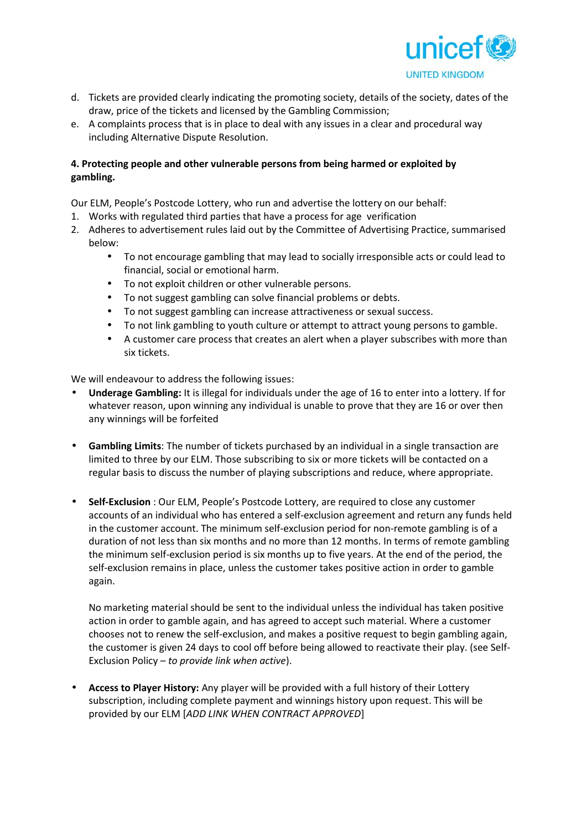

- d. Tickets are provided clearly indicating the promoting society, details of the society, dates of the draw, price of the tickets and licensed by the Gambling Commission;
- e. A complaints process that is in place to deal with any issues in a clear and procedural way including Alternative Dispute Resolution.

## **4. Protecting people and other vulnerable persons from being harmed or exploited by gambling.**

Our ELM, People's Postcode Lottery, who run and advertise the lottery on our behalf:

- 1. Works with regulated third parties that have a process for age verification
- 2. Adheres to advertisement rules laid out by the Committee of Advertising Practice, summarised below:
	- To not encourage gambling that may lead to socially irresponsible acts or could lead to financial, social or emotional harm.
		- To not exploit children or other vulnerable persons.
	- To not suggest gambling can solve financial problems or debts.
	- To not suggest gambling can increase attractiveness or sexual success.
	- To not link gambling to youth culture or attempt to attract young persons to gamble.
	- A customer care process that creates an alert when a player subscribes with more than six tickets.

We will endeavour to address the following issues:

- **Underage Gambling:** It is illegal for individuals under the age of 16 to enter into a lottery. If for whatever reason, upon winning any individual is unable to prove that they are 16 or over then any winnings will be forfeited
- **Gambling Limits**: The number of tickets purchased by an individual in a single transaction are limited to three by our ELM. Those subscribing to six or more tickets will be contacted on a regular basis to discuss the number of playing subscriptions and reduce, where appropriate.
- **Self-Exclusion** : Our ELM, People's Postcode Lottery, are required to close any customer accounts of an individual who has entered a self-exclusion agreement and return any funds held in the customer account. The minimum self-exclusion period for non-remote gambling is of a duration of not less than six months and no more than 12 months. In terms of remote gambling the minimum self-exclusion period is six months up to five years. At the end of the period, the self-exclusion remains in place, unless the customer takes positive action in order to gamble again.

No marketing material should be sent to the individual unless the individual has taken positive action in order to gamble again, and has agreed to accept such material. Where a customer chooses not to renew the self-exclusion, and makes a positive request to begin gambling again, the customer is given 24 days to cool off before being allowed to reactivate their play. (see Self- Exclusion Policy – *to provide link when active*).

 **Access to Player History:** Any player will be provided with a full history of their Lottery subscription, including complete payment and winnings history upon request. This will be provided by our ELM [*ADD LINK WHEN CONTRACT APPROVED*]